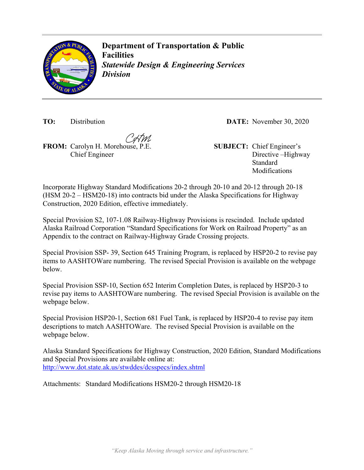

**Department of Transportation & Public Facilities** *Statewide Design & Engineering Services Division* 

**TO:** Distribution **DATE:** November 30, 2020

**FROM:** Carolyn H. Morehouse, P.E. **SUBJECT:** Chief Engineer's Chief Engineer

Directive –Highway Standard Modifications

Incorporate Highway Standard Modifications 20-2 through 20-10 and 20-12 through 20-18 (HSM 20-2 – HSM20-18) into contracts bid under the Alaska Specifications for Highway Construction, 2020 Edition, effective immediately.

Special Provision S2, 107-1.08 Railway-Highway Provisions is rescinded. Include updated Alaska Railroad Corporation "Standard Specifications for Work on Railroad Property" as an Appendix to the contract on Railway-Highway Grade Crossing projects.

Special Provision SSP- 39, Section 645 Training Program, is replaced by HSP20-2 to revise pay items to AASHTOWare numbering. The revised Special Provision is available on the webpage below.

Special Provision SSP-10, Section 652 Interim Completion Dates, is replaced by HSP20-3 to revise pay items to AASHTOWare numbering. The revised Special Provision is available on the webpage below.

Special Provision HSP20-1, Section 681 Fuel Tank, is replaced by HSP20-4 to revise pay item descriptions to match AASHTOWare. The revised Special Provision is available on the webpage below.

Alaska Standard Specifications for Highway Construction, 2020 Edition, Standard Modifications and Special Provisions are available online at: <http://www.dot.state.ak.us/stwddes/dcsspecs/index.shtml>

Attachments: Standard Modifications HSM20-2 through HSM20-18